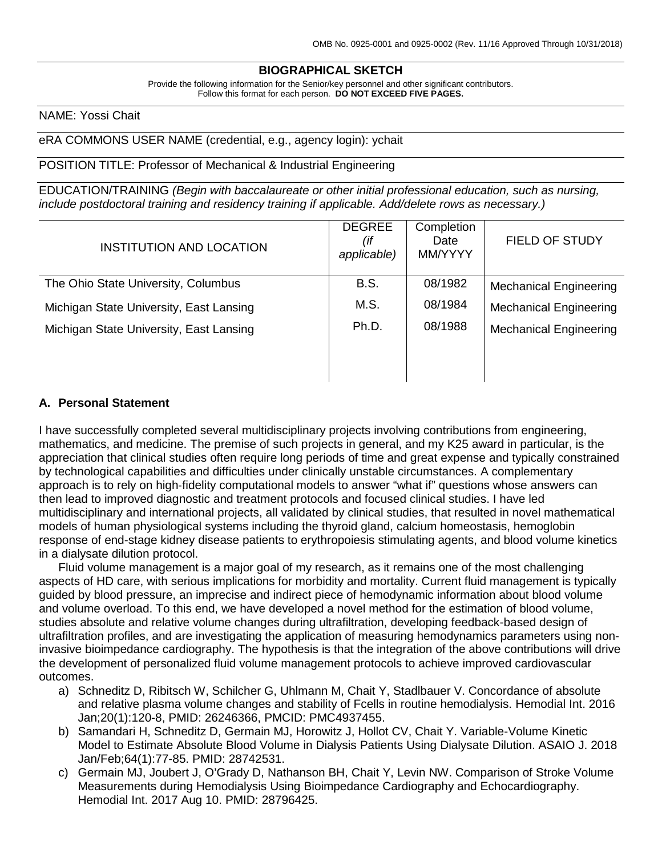# **BIOGRAPHICAL SKETCH**

Provide the following information for the Senior/key personnel and other significant contributors. Follow this format for each person. **DO NOT EXCEED FIVE PAGES.**

#### NAME: Yossi Chait

#### eRA COMMONS USER NAME (credential, e.g., agency login): ychait

#### POSITION TITLE: Professor of Mechanical & Industrial Engineering

EDUCATION/TRAINING *(Begin with baccalaureate or other initial professional education, such as nursing, include postdoctoral training and residency training if applicable. Add/delete rows as necessary.)*

| <b>INSTITUTION AND LOCATION</b>         | <b>DEGREE</b><br>(if<br>applicable) | Completion<br>Date<br>MM/YYYY | <b>FIELD OF STUDY</b>         |
|-----------------------------------------|-------------------------------------|-------------------------------|-------------------------------|
| The Ohio State University, Columbus     | <b>B.S.</b>                         | 08/1982                       | <b>Mechanical Engineering</b> |
| Michigan State University, East Lansing | M.S.                                | 08/1984                       | <b>Mechanical Engineering</b> |
| Michigan State University, East Lansing | Ph.D.                               | 08/1988                       | <b>Mechanical Engineering</b> |
|                                         |                                     |                               |                               |
|                                         |                                     |                               |                               |

#### **A. Personal Statement**

I have successfully completed several multidisciplinary projects involving contributions from engineering, mathematics, and medicine. The premise of such projects in general, and my K25 award in particular, is the appreciation that clinical studies often require long periods of time and great expense and typically constrained by technological capabilities and difficulties under clinically unstable circumstances. A complementary approach is to rely on high‐fidelity computational models to answer "what if" questions whose answers can then lead to improved diagnostic and treatment protocols and focused clinical studies. I have led multidisciplinary and international projects, all validated by clinical studies, that resulted in novel mathematical models of human physiological systems including the thyroid gland, calcium homeostasis, hemoglobin response of end-stage kidney disease patients to erythropoiesis stimulating agents, and blood volume kinetics in a dialysate dilution protocol.

Fluid volume management is a major goal of my research, as it remains one of the most challenging aspects of HD care, with serious implications for morbidity and mortality. Current fluid management is typically guided by blood pressure, an imprecise and indirect piece of hemodynamic information about blood volume and volume overload. To this end, we have developed a novel method for the estimation of blood volume, studies absolute and relative volume changes during ultrafiltration, developing feedback-based design of ultrafiltration profiles, and are investigating the application of measuring hemodynamics parameters using noninvasive bioimpedance cardiography. The hypothesis is that the integration of the above contributions will drive the development of personalized fluid volume management protocols to achieve improved cardiovascular outcomes.

- a) Schneditz D, Ribitsch W, Schilcher G, Uhlmann M, Chait Y, Stadlbauer V. Concordance of absolute and relative plasma volume changes and stability of Fcells in routine hemodialysis. Hemodial Int. 2016 Jan;20(1):120-8, PMID: 26246366, PMCID: PMC4937455.
- b) Samandari H, Schneditz D, Germain MJ, Horowitz J, Hollot CV, Chait Y. Variable-Volume Kinetic Model to Estimate Absolute Blood Volume in Dialysis Patients Using Dialysate Dilution. ASAIO J. 2018 Jan/Feb;64(1):77-85. PMID: 28742531.
- c) Germain MJ, Joubert J, O'Grady D, Nathanson BH, Chait Y, Levin NW. Comparison of Stroke Volume Measurements during Hemodialysis Using Bioimpedance Cardiography and Echocardiography. Hemodial Int. 2017 Aug 10. PMID: 28796425.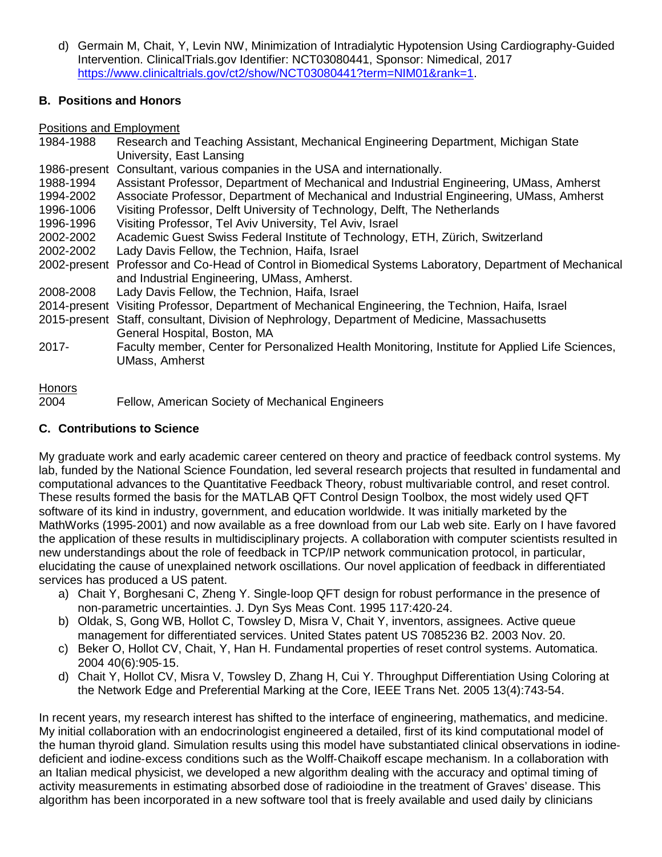d) Germain M, Chait, Y, Levin NW, Minimization of Intradialytic Hypotension Using Cardiography-Guided Intervention. ClinicalTrials.gov Identifier: NCT03080441, Sponsor: Nimedical, 2017 [https://www.clinicaltrials.gov/ct2/show/NCT03080441?term=NIM01&rank=1.](https://www.clinicaltrials.gov/ct2/show/NCT03080441?term=NIM01&rank=1)

## **B. Positions and Honors**

Positions and Employment

| 1984-1988 | Research and Teaching Assistant, Mechanical Engineering Department, Michigan State                       |
|-----------|----------------------------------------------------------------------------------------------------------|
|           | University, East Lansing                                                                                 |
|           | 1986-present Consultant, various companies in the USA and internationally.                               |
| 1988-1994 | Assistant Professor, Department of Mechanical and Industrial Engineering, UMass, Amherst                 |
| 1994-2002 | Associate Professor, Department of Mechanical and Industrial Engineering, UMass, Amherst                 |
| 1996-1006 | Visiting Professor, Delft University of Technology, Delft, The Netherlands                               |
| 1996-1996 | Visiting Professor, Tel Aviv University, Tel Aviv, Israel                                                |
| 2002-2002 | Academic Guest Swiss Federal Institute of Technology, ETH, Zürich, Switzerland                           |
| 2002-2002 | Lady Davis Fellow, the Technion, Haifa, Israel                                                           |
|           | 2002-present Professor and Co-Head of Control in Biomedical Systems Laboratory, Department of Mechanical |
|           | and Industrial Engineering, UMass, Amherst.                                                              |
| 2008-2008 | Lady Davis Fellow, the Technion, Haifa, Israel                                                           |
|           | 2014-present Visiting Professor, Department of Mechanical Engineering, the Technion, Haifa, Israel       |
|           | 2015-present Staff, consultant, Division of Nephrology, Department of Medicine, Massachusetts            |
|           | General Hospital, Boston, MA                                                                             |
| $2017 -$  | Faculty member, Center for Personalized Health Monitoring, Institute for Applied Life Sciences,          |
|           | <b>UMass, Amherst</b>                                                                                    |
|           |                                                                                                          |
| Honors    |                                                                                                          |

2004 Fellow, American Society of Mechanical Engineers

## **C. Contributions to Science**

My graduate work and early academic career centered on theory and practice of feedback control systems. My lab, funded by the National Science Foundation, led several research projects that resulted in fundamental and computational advances to the Quantitative Feedback Theory, robust multivariable control, and reset control. These results formed the basis for the MATLAB QFT Control Design Toolbox, the most widely used QFT software of its kind in industry, government, and education worldwide. It was initially marketed by the MathWorks (1995‐2001) and now available as a free download from our Lab web site. Early on I have favored the application of these results in multidisciplinary projects. A collaboration with computer scientists resulted in new understandings about the role of feedback in TCP/IP network communication protocol, in particular, elucidating the cause of unexplained network oscillations. Our novel application of feedback in differentiated services has produced a US patent.

- a) Chait Y, Borghesani C, Zheng Y. Single‐loop QFT design for robust performance in the presence of non‐parametric uncertainties. J. Dyn Sys Meas Cont. 1995 117:420‐24.
- b) Oldak, S, Gong WB, Hollot C, Towsley D, Misra V, Chait Y, inventors, assignees. Active queue management for differentiated services. United States patent US 7085236 B2. 2003 Nov. 20.
- c) Beker O, Hollot CV, Chait, Y, Han H. Fundamental properties of reset control systems. Automatica. 2004 40(6):905‐15.
- d) Chait Y, Hollot CV, Misra V, Towsley D, Zhang H, Cui Y. Throughput Differentiation Using Coloring at the Network Edge and Preferential Marking at the Core, IEEE Trans Net. 2005 13(4):743-54.

In recent years, my research interest has shifted to the interface of engineering, mathematics, and medicine. My initial collaboration with an endocrinologist engineered a detailed, first of its kind computational model of the human thyroid gland. Simulation results using this model have substantiated clinical observations in iodine‐ deficient and iodine‐excess conditions such as the Wolff‐Chaikoff escape mechanism. In a collaboration with an Italian medical physicist, we developed a new algorithm dealing with the accuracy and optimal timing of activity measurements in estimating absorbed dose of radioiodine in the treatment of Graves' disease. This algorithm has been incorporated in a new software tool that is freely available and used daily by clinicians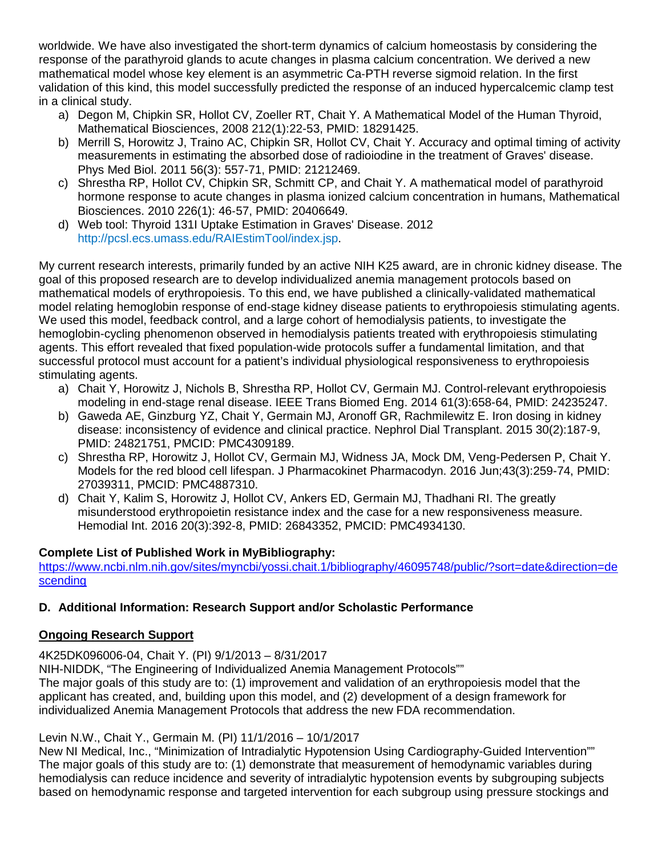worldwide. We have also investigated the short-term dynamics of calcium homeostasis by considering the response of the parathyroid glands to acute changes in plasma calcium concentration. We derived a new mathematical model whose key element is an asymmetric Ca‐PTH reverse sigmoid relation. In the first validation of this kind, this model successfully predicted the response of an induced hypercalcemic clamp test in a clinical study.

- a) Degon M, Chipkin SR, Hollot CV, Zoeller RT, Chait Y. A Mathematical Model of the Human Thyroid, Mathematical Biosciences, 2008 212(1):22-53, PMID: 18291425.
- b) [Merrill S,](http://www.ncbi.nlm.nih.gov/pubmed?term=%22Merrill%20S%22%5BAuthor%5D) [Horowitz J,](http://www.ncbi.nlm.nih.gov/pubmed?term=%22Horowitz%20J%22%5BAuthor%5D) [Traino AC,](http://www.ncbi.nlm.nih.gov/pubmed?term=%22Traino%20AC%22%5BAuthor%5D) [Chipkin SR,](http://www.ncbi.nlm.nih.gov/pubmed?term=%22Chipkin%20SR%22%5BAuthor%5D) [Hollot CV,](http://www.ncbi.nlm.nih.gov/pubmed?term=%22Hollot%20CV%22%5BAuthor%5D) [Chait Y.](http://www.ncbi.nlm.nih.gov/pubmed?term=%22Chait%20Y%22%5BAuthor%5D) Accuracy and optimal timing of activity measurements in estimating the absorbed dose of radioiodine in the treatment of Graves' disease. [Phys Med Biol.](http://www.ncbi.nlm.nih.gov/pubmed/21212469) 2011 56(3): 557-71, PMID: 21212469.
- c) Shrestha RP, Hollot CV, Chipkin SR, Schmitt CP, and Chait Y. A mathematical model of parathyroid hormone response to acute changes in plasma ionized calcium concentration in humans, Mathematical Biosciences. 2010 226(1): 46‐57, PMID: 20406649.
- d) Web tool: Thyroid 131I Uptake Estimation in Graves' Disease. 2012 [http://pcsl.ecs.umass.edu/RAIEstimTool/index.jsp.](http://pcsl.ecs.umass.edu/RAIEstimTool/index.jsp)

My current research interests, primarily funded by an active NIH K25 award, are in chronic kidney disease. The goal of this proposed research are to develop individualized anemia management protocols based on mathematical models of erythropoiesis. To this end, we have published a clinically-validated mathematical model relating hemoglobin response of end-stage kidney disease patients to erythropoiesis stimulating agents. We used this model, feedback control, and a large cohort of hemodialysis patients, to investigate the hemoglobin-cycling phenomenon observed in hemodialysis patients treated with erythropoiesis stimulating agents. This effort revealed that fixed population-wide protocols suffer a fundamental limitation, and that successful protocol must account for a patient's individual physiological responsiveness to erythropoiesis stimulating agents.

- a) Chait Y, Horowitz J, Nichols B, Shrestha RP, Hollot CV, Germain MJ. Control-relevant erythropoiesis modeling in end-stage renal disease. IEEE Trans Biomed Eng. 2014 61(3):658-64, PMID: 24235247.
- b) Gaweda AE, Ginzburg YZ, Chait Y, Germain MJ, Aronoff GR, Rachmilewitz E. Iron dosing in kidney disease: inconsistency of evidence and clinical practice. Nephrol Dial Transplant. 2015 30(2):187-9, PMID: 24821751, PMCID: PMC4309189.
- c) Shrestha RP, Horowitz J, Hollot CV, Germain MJ, Widness JA, Mock DM, Veng-Pedersen P, Chait Y. Models for the red blood cell lifespan. J Pharmacokinet Pharmacodyn. 2016 Jun;43(3):259-74, PMID: 27039311, PMCID: PMC4887310.
- d) Chait Y, Kalim S, Horowitz J, Hollot CV, Ankers ED, Germain MJ, Thadhani RI. The greatly misunderstood erythropoietin resistance index and the case for a new responsiveness measure. Hemodial Int. 2016 20(3):392-8, PMID: 26843352, PMCID: PMC4934130.

### **Complete List of Published Work in MyBibliography:**

[https://www.ncbi.nlm.nih.gov/sites/myncbi/yossi.chait.1/bibliography/46095748/public/?sort=date&direction=de](https://www.ncbi.nlm.nih.gov/sites/myncbi/yossi.chait.1/bibliography/46095748/public/?sort=date&direction=descending) [scending](https://www.ncbi.nlm.nih.gov/sites/myncbi/yossi.chait.1/bibliography/46095748/public/?sort=date&direction=descending)

### **D. Additional Information: Research Support and/or Scholastic Performance**

### **Ongoing Research Support**

4K25DK096006-04, Chait Y. (PI) 9/1/2013 – 8/31/2017

NIH-NIDDK, "The Engineering of Individualized Anemia Management Protocols""

The major goals of this study are to: (1) improvement and validation of an erythropoiesis model that the applicant has created, and, building upon this model, and (2) development of a design framework for individualized Anemia Management Protocols that address the new FDA recommendation.

Levin N.W., Chait Y., Germain M. (PI) 11/1/2016 – 10/1/2017

New NI Medical, Inc., "Minimization of Intradialytic Hypotension Using Cardiography-Guided Intervention"" The major goals of this study are to: (1) demonstrate that measurement of hemodynamic variables during hemodialysis can reduce incidence and severity of intradialytic hypotension events by subgrouping subjects based on hemodynamic response and targeted intervention for each subgroup using pressure stockings and